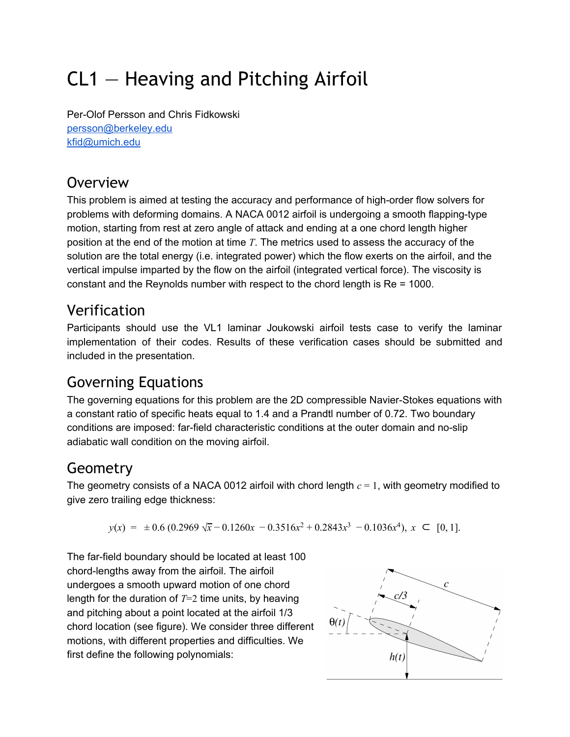# CL1 — Heaving and Pitching Airfoil

Per-Olof Persson and Chris Fidkowski [persson@berkeley.edu](mailto:persson@berkeley.edu) [kfid@umich.edu](mailto:kfid@umich.edu)

# **Overview**

This problem is aimed at testing the accuracy and performance of high-order flow solvers for problems with deforming domains. A NACA 0012 airfoil is undergoing a smooth flapping-type motion, starting from rest at zero angle of attack and ending at a one chord length higher position at the end of the motion at time *T*. The metrics used to assess the accuracy of the solution are the total energy (i.e. integrated power) which the flow exerts on the airfoil, and the vertical impulse imparted by the flow on the airfoil (integrated vertical force). The viscosity is constant and the Reynolds number with respect to the chord length is Re = 1000.

# Verification

Participants should use the VL1 laminar Joukowski airfoil tests case to verify the laminar implementation of their codes. Results of these verification cases should be submitted and included in the presentation.

### Governing Equations

The governing equations for this problem are the 2D compressible Navier-Stokes equations with a constant ratio of specific heats equal to 1.4 and a Prandtl number of 0.72. Two boundary conditions are imposed: far-field characteristic conditions at the outer domain and no-slip adiabatic wall condition on the moving airfoil.

# Geometry

The geometry consists of a NACA 0012 airfoil with chord length *c* = 1, with geometry modified to give zero trailing edge thickness:

 $y(x) = \pm 0.6 (0.2969 \sqrt{x} - 0.1260x - 0.3516x^2 + 0.2843x^3 - 0.1036x^4), x \subset [0, 1].$ 

The far-field boundary should be located at least 100 chord-lengths away from the airfoil. The airfoil undergoes a smooth upward motion of one chord length for the duration of *T*=2 time units, by heaving and pitching about a point located at the airfoil 1/3 chord location (see figure). We consider three different motions, with different properties and difficulties. We first define the following polynomials:

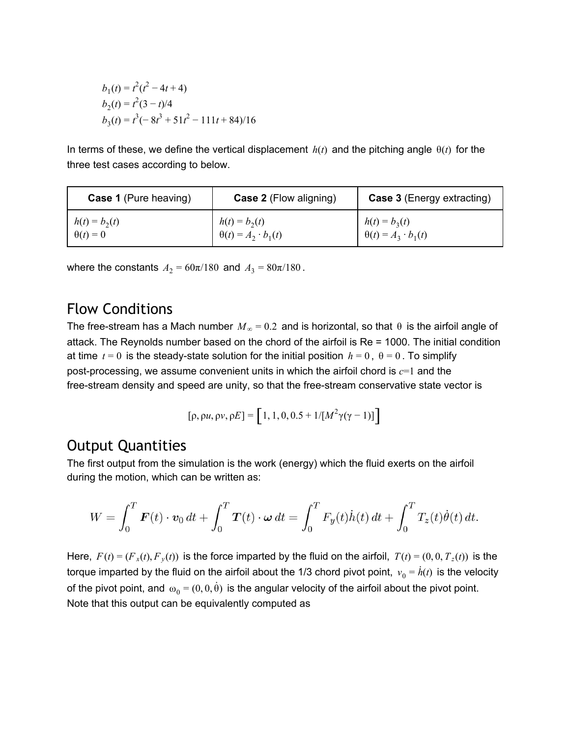$$
b_1(t) = t^2(t^2 - 4t + 4)
$$
  
\n
$$
b_2(t) = t^2(3 - t)/4
$$
  
\n
$$
b_3(t) = t^3(-8t^3 + 51t^2 - 111t + 84)/16
$$

In terms of these, we define the vertical displacement  $h(t)$  and the pitching angle  $\theta(t)$  for the three test cases according to below.

| <b>Case 1</b> (Pure heaving) | <b>Case 2</b> (Flow aligning)  | <b>Case 3 (Energy extracting)</b> |
|------------------------------|--------------------------------|-----------------------------------|
| $h(t) = b_2(t)$              | $h(t) = b_2(t)$                | $h(t) = b_3(t)$                   |
| $\theta(t) = 0$              | $\theta(t) = A_2 \cdot b_1(t)$ | $\theta(t) = A_3 \cdot b_1(t)$    |

where the constants  $A_2 = 60\pi/180$  and  $A_3 = 80\pi/180$ .

#### Flow Conditions

The free-stream has a Mach number  $M_{\infty}$  = 0.2 and is horizontal, so that  $\theta$  is the airfoil angle of attack. The Reynolds number based on the chord of the airfoil is Re = 1000. The initial condition at time  $t = 0$  is the steady-state solution for the initial position  $h = 0$ ,  $\theta = 0$ . To simplify post-processing, we assume convenient units in which the airfoil chord is *c*=1 and the free-stream density and speed are unity, so that the free-stream conservative state vector is

$$
[\rho, \rho u, \rho v, \rho E] = [1, 1, 0, 0.5 + 1/[M^2 \gamma (\gamma - 1)]]
$$

#### Output Quantities

The first output from the simulation is the work (energy) which the fluid exerts on the airfoil during the motion, which can be written as:

$$
W = \int_0^T \boldsymbol{F}(t) \cdot \boldsymbol{v}_0 dt + \int_0^T \boldsymbol{T}(t) \cdot \boldsymbol{\omega} dt = \int_0^T F_y(t) \dot{h}(t) dt + \int_0^T T_z(t) \dot{\theta}(t) dt
$$

Here,  $F(t) = (F_x(t), F_y(t))$  is the force imparted by the fluid on the airfoil,  $T(t) = (0, 0, T_z(t))$  is the torque imparted by the fluid on the airfoil about the 1/3 chord pivot point,  $\overline{v}_0 = \dot{h}(t)$  is the velocity of the pivot point, and  $\omega_0 = (0, 0, \dot{\theta})$  is the angular velocity of the airfoil about the pivot point. Note that this output can be equivalently computed as